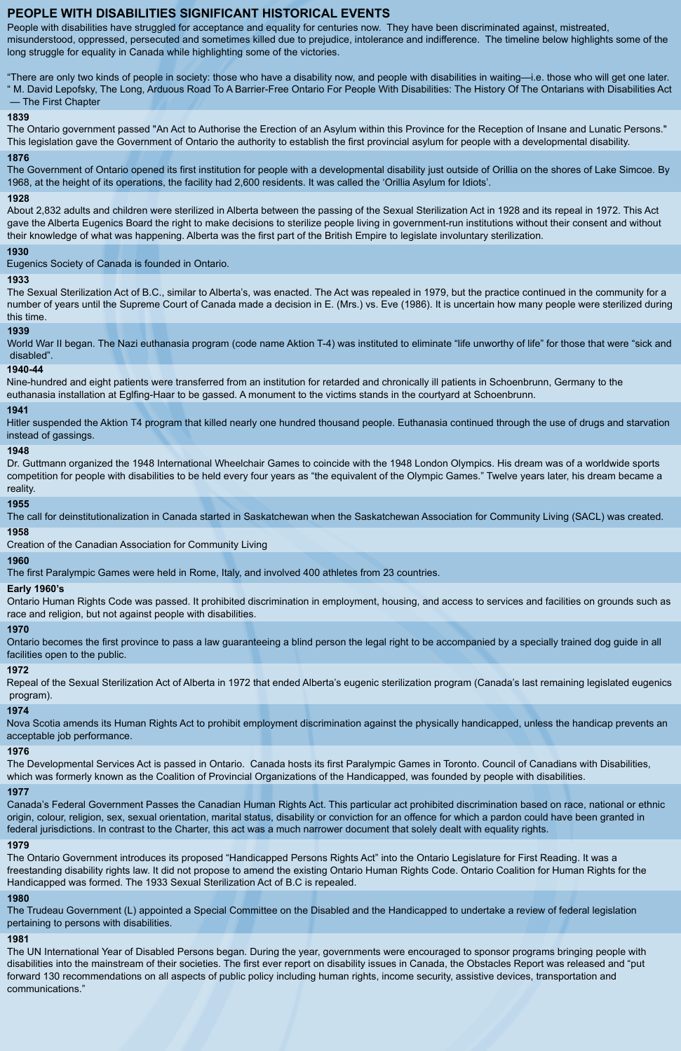# **PEOPLE WITH DISABILITIES SIGNIFICANT HISTORICAL EVENTS**

People with disabilities have struggled for acceptance and equality for centuries now. They have been discriminated against, mistreated, misunderstood, oppressed, persecuted and sometimes killed due to prejudice, intolerance and indifference. The timeline below highlights some of the long struggle for equality in Canada while highlighting some of the victories.

"There are only two kinds of people in society: those who have a disability now, and people with disabilities in waiting—i.e. those who will get one later.

" M. David Lepofsky, The Long, Arduous Road To A Barrier-Free Ontario For People With Disabilities: The History Of The Ontarians with Disabilities Act — The First Chapter

# **1839**

The Ontario government passed "An Act to Authorise the Erection of an Asylum within this Province for the Reception of Insane and Lunatic Persons." This legislation gave the Government of Ontario the authority to establish the first provincial asylum for people with a developmental disability.

# **1876**

World War II began. The Nazi euthanasia program (code name Aktion T-4) was instituted to eliminate "life unworthy of life" for those that were "sick and disabled".

The Government of Ontario opened its first institution for people with a developmental disability just outside of Orillia on the shores of Lake Simcoe. By 1968, at the height of its operations, the facility had 2,600 residents. It was called the 'Orillia Asylum for Idiots'.

# **1928**

About 2,832 adults and children were sterilized in Alberta between the passing of the Sexual Sterilization Act in 1928 and its repeal in 1972. This Act gave the Alberta Eugenics Board the right to make decisions to sterilize people living in government-run institutions without their consent and without their knowledge of what was happening. Alberta was the first part of the British Empire to legislate involuntary sterilization.

# **1930**

Eugenics Society of Canada is founded in Ontario.

# **1933**

The Sexual Sterilization Act of B.C., similar to Alberta's, was enacted. The Act was repealed in 1979, but the practice continued in the community for a number of years until the Supreme Court of Canada made a decision in E. (Mrs.) vs. Eve (1986). It is uncertain how many people were sterilized during this time.

# **1939**

# **1940-44**

Nine-hundred and eight patients were transferred from an institution for retarded and chronically ill patients in Schoenbrunn, Germany to the euthanasia installation at Eglfing-Haar to be gassed. A monument to the victims stands in the courtyard at Schoenbrunn.

# **1941**

Hitler suspended the Aktion T4 program that killed nearly one hundred thousand people. Euthanasia continued through the use of drugs and starvation instead of gassings.

# **1948**

Dr. Guttmann organized the 1948 International Wheelchair Games to coincide with the 1948 London Olympics. His dream was of a worldwide sports competition for people with disabilities to be held every four years as "the equivalent of the Olympic Games." Twelve years later, his dream became a reality.

# **1955**

The call for deinstitutionalization in Canada started in Saskatchewan when the Saskatchewan Association for Community Living (SACL) was created.

# **1958**

Creation of the Canadian Association for Community Living

# **1960**

The first Paralympic Games were held in Rome, Italy, and involved 400 athletes from 23 countries.

# **Early 1960's**

Ontario Human Rights Code was passed. It prohibited discrimination in employment, housing, and access to services and facilities on grounds such as race and religion, but not against people with disabilities.

# **1970**

Ontario becomes the first province to pass a law guaranteeing a blind person the legal right to be accompanied by a specially trained dog guide in all facilities open to the public.

# **1972**

Repeal of the Sexual Sterilization Act of Alberta in 1972 that ended Alberta's eugenic sterilization program (Canada's last remaining legislated eugenics program).

# **1974**

Nova Scotia amends its Human Rights Act to prohibit employment discrimination against the physically handicapped, unless the handicap prevents an acceptable job performance.

# **1976**

The Developmental Services Act is passed in Ontario. Canada hosts its first Paralympic Games in Toronto. Council of Canadians with Disabilities,

which was formerly known as the Coalition of Provincial Organizations of the Handicapped, was founded by people with disabilities.

#### **1977**

Canada's Federal Government Passes the Canadian Human Rights Act. This particular act prohibited discrimination based on race, national or ethnic origin, colour, religion, sex, sexual orientation, marital status, disability or conviction for an offence for which a pardon could have been granted in federal jurisdictions. In contrast to the Charter, this act was a much narrower document that solely dealt with equality rights.

#### **1979**

The Ontario Government introduces its proposed "Handicapped Persons Rights Act" into the Ontario Legislature for First Reading. It was a freestanding disability rights law. It did not propose to amend the existing Ontario Human Rights Code. Ontario Coalition for Human Rights for the Handicapped was formed. The 1933 Sexual Sterilization Act of B.C is repealed.

#### **1980**

The Trudeau Government (L) appointed a Special Committee on the Disabled and the Handicapped to undertake a review of federal legislation pertaining to persons with disabilities.

#### **1981**

The UN International Year of Disabled Persons began. During the year, governments were encouraged to sponsor programs bringing people with disabilities into the mainstream of their societies. The first ever report on disability issues in Canada, the Obstacles Report was released and "put forward 130 recommendations on all aspects of public policy including human rights, income security, assistive devices, transportation and communications."